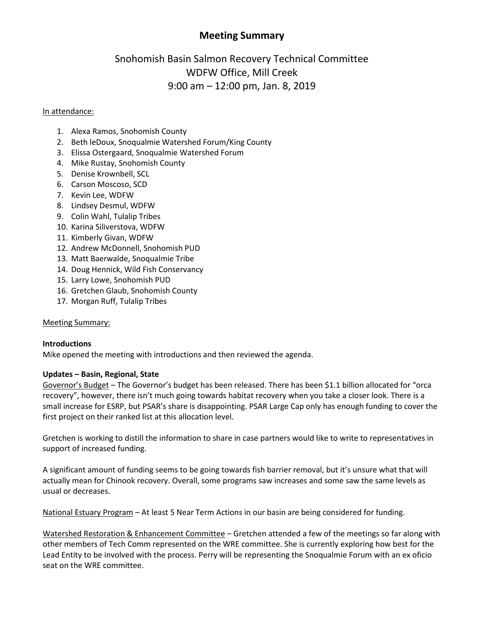# **Meeting Summary**

# Snohomish Basin Salmon Recovery Technical Committee WDFW Office, Mill Creek 9:00 am – 12:00 pm, Jan. 8, 2019

### In attendance:

- 1. Alexa Ramos, Snohomish County
- 2. Beth leDoux, Snoqualmie Watershed Forum/King County
- 3. Elissa Ostergaard, Snoqualmie Watershed Forum
- 4. Mike Rustay, Snohomish County
- 5. Denise Krownbell, SCL
- 6. Carson Moscoso, SCD
- 7. Kevin Lee, WDFW
- 8. Lindsey Desmul, WDFW
- 9. Colin Wahl, Tulalip Tribes
- 10. Karina Siliverstova, WDFW
- 11. Kimberly Givan, WDFW
- 12. Andrew McDonnell, Snohomish PUD
- 13. Matt Baerwalde, Snoqualmie Tribe
- 14. Doug Hennick, Wild Fish Conservancy
- 15. Larry Lowe, Snohomish PUD
- 16. Gretchen Glaub, Snohomish County
- 17. Morgan Ruff, Tulalip Tribes

### Meeting Summary:

### **Introductions**

Mike opened the meeting with introductions and then reviewed the agenda.

### **Updates – Basin, Regional, State**

Governor's Budget – The Governor's budget has been released. There has been \$1.1 billion allocated for "orca recovery", however, there isn't much going towards habitat recovery when you take a closer look. There is a small increase for ESRP, but PSAR's share is disappointing. PSAR Large Cap only has enough funding to cover the first project on their ranked list at this allocation level.

Gretchen is working to distill the information to share in case partners would like to write to representatives in support of increased funding.

A significant amount of funding seems to be going towards fish barrier removal, but it's unsure what that will actually mean for Chinook recovery. Overall, some programs saw increases and some saw the same levels as usual or decreases.

National Estuary Program – At least 5 Near Term Actions in our basin are being considered for funding.

Watershed Restoration & Enhancement Committee – Gretchen attended a few of the meetings so far along with other members of Tech Comm represented on the WRE committee. She is currently exploring how best for the Lead Entity to be involved with the process. Perry will be representing the Snoqualmie Forum with an ex oficio seat on the WRE committee.